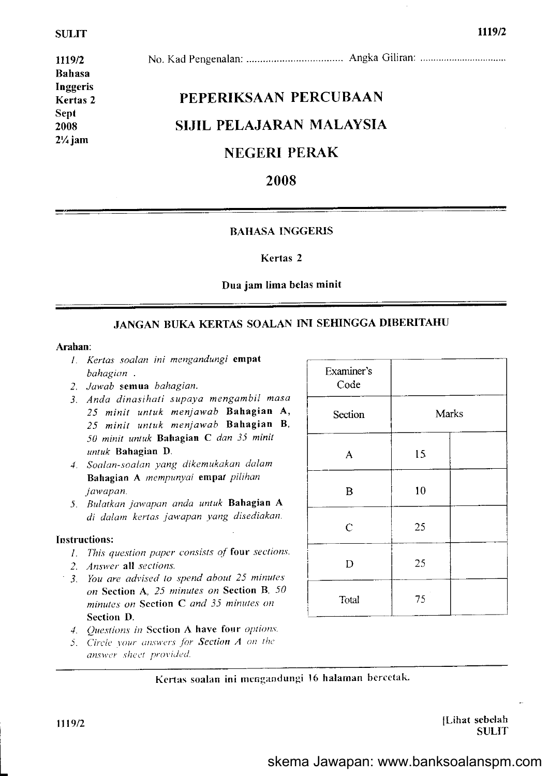1119/2 Bahasa Inggeris Kertas 2 Sept 2008  $2\frac{1}{4}$  jam

# No. Kad Pengenalan: ......... Angka Giliran:

# PEPERIKSAAN PERCUBAAN SIJIL PELAJARAN MALAYSIA

# NEGERI PERAK

# 2008

#### **BAHASA INGGERIS**

#### Kertas 2

#### Dua jam lima belas minit

# JANGAN BUKA KERTAS SOALAN INI SEHINGGA DIBERJTAHU

#### Arahan:

- L Kerlas soalan ini mengandungi empat bahagian.
- 2. Jawab semua bahagian.
- 3. Anda dinasihati supaya mengambil masa 25 minit untuk menjawab Bahagian A' 25 minit untuk meniawab Bahagian B, 50 minit untuk Bahagian C dan 35 minit  $untuk$  Bahagian D.
- 4. Soalan-soalan yang dikemukakan dalam Bahagian A mempunyai empat pilihan jawapan.
- 5. Bulatkan jawapan anda untuk Bahagian A di dalam kertas jawapan yang disediakan.

#### Instructions:

- $I.$  This question paper consists of four sections.
- 2. Answer all sections.
- 3. You are advised to spend aboul 25 minules on Section A, 25 minutes on Section B, 50 minulcs on Section C and 35 minules on Scction D.
- 4. Questions in Section A have four options.
- $5.$  Circle your answers for **Section A** on the
- answer sheet provided.

| Examiner's<br>Code |       |
|--------------------|-------|
| Section            | Marks |
| $\overline{A}$     | 15    |
| $\mathbf B$        | 10    |
| $\overline{C}$     | 25    |
| D                  | 25    |
| Total              | 75    |

Kertas soalan ini mengandungi 16 halaman bercetak.

L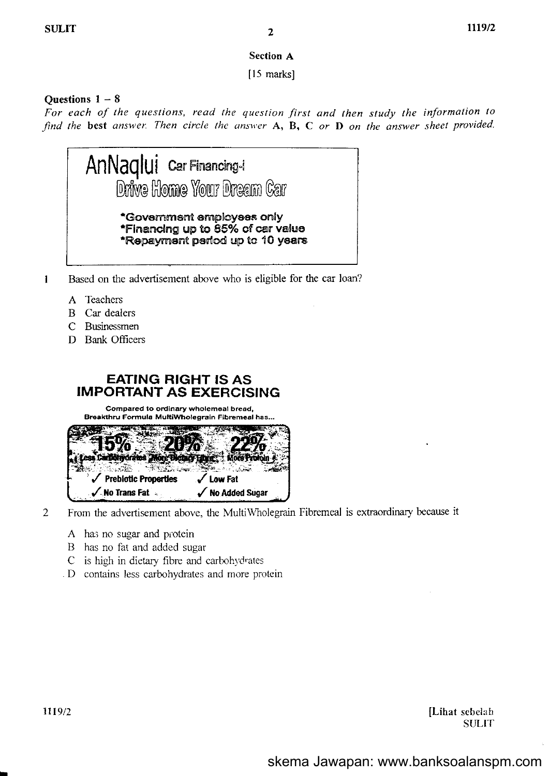### **Section A**

 $[15$  marks]

# Ouestions  $1 - 8$

For each of the questions, read the question first and then study the information to find the best answer. Then circle the answer  $A$ ,  $B$ ,  $C$  or  $D$  on the answer sheet provided.



- Based on the advertisement above who is eligible for the car loan?  $\mathbf{1}$ 
	- A Teachers
	- **B** Car dealers
	- C Businessmen
	- D Bank Officers

# **EATING RIGHT IS AS IMPORTANT AS EXERCISING**

Compared to ordinary wholemeal bread, Breakthru Formula MultiWholegrain Fibremeal has...



 $\overline{2}$ 

- From the advertisement above, the MultiWholegrain Fibremeal is extraordinary because it
	- A has no sugar and protein
	- B has no fat and added sugar
	- C is high in dietary fibre and carbohydrates
	- D contains less carbohydrates and more protein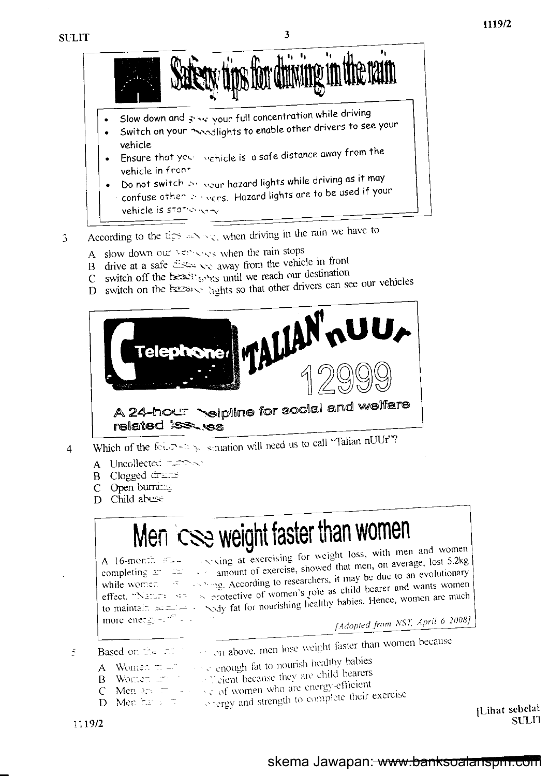

- Do not switch  $\gg$  sour hazard lights while driving as it may confuse other severs. Hazard lights are to be used if your vehicle is stationary
- According to the tips arriving, when driving in the rain we have to 3
	- A slow down our versively when the rain stops
	- B drive at a safe  $\frac{3}{2}$  as a safe difference away from the vehicle in front
	- switch off the heading intimum we reach our destination  $C_{-}$
	- D switch on the Example lights so that other drivers can see our vehicles



- Which of the followings struction will need us to call "Talian nUUr"?  $\overline{4}$ 
	- A Uncollected TIPPS
	- Clogged drams B
	- $\mathcal{C}$ Open burner
	- D Child abuse

# Men CSe weight faster than women

A 16-month  $F_{++}$ more energy  $\approx$   $\approx$   $\approx$ 

exciting at exercising for weight loss, with men and women completing  $27$   $22$  amount of exercise, showed that men, on average, lost 5.2kg while women of the sympathetic state of the searchers, it may be due to an evolutionary effect. "Nature set is protective of women's role as child bearer and wants women to maintain  $x = -\sqrt{3}$  fat for nourishing healthy babies. Hence, women are much

[Adopted from NST, April 6 2008]

on above, men lose weight faster than women because  $\zeta$ Based on the man

- see a chough fat to nourish healthy babies A Women  $\pi =$
- B Women The Break they are child bearers
- C Men  $z = \sqrt{c}$  of women who are energy-efficient
- 
- 

[Lihat sebelat] SULI1

# skema Jawapan: www.banksoalanspin.com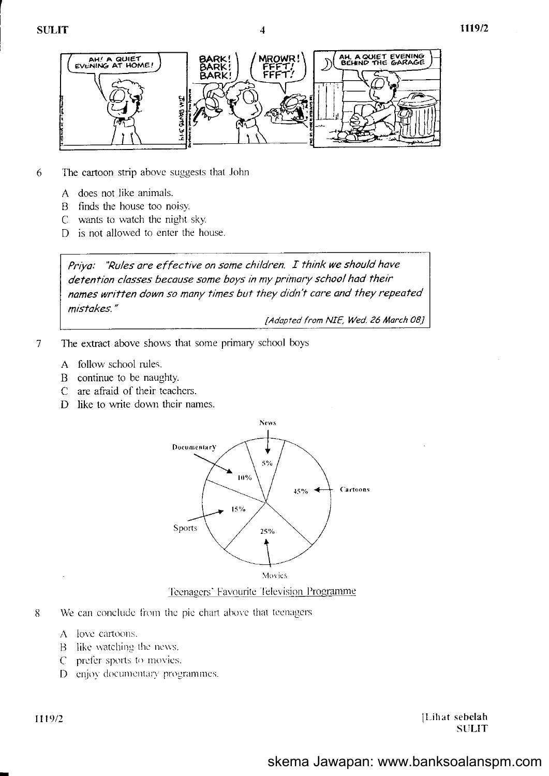

 $\boldsymbol{\varDelta}$ 

- The cartoon strip above suggests that John 6
	- A does not like animals.
	- $\mathbf{B}$ finds the house too noisy.
	- C wants to watch the night sky.
	- D is not allowed to enter the house.

Priya: "Rules are effective on some children. I think we should have detention classes because some boys in my primary school had their names written down so many times but they didn't care and they repeated mistakes."

[Adapted from NIE, Wed. 26 March 08]

- $\overline{7}$ The extract above shows that some primary school boys
	- A follow school rules.
	- $\mathbf{B}$ continue to be naughty.
	- are afraid of their teachers.  $\mathcal{C}$
	- D like to write down their names.



#### Teenagers' Favourite Television Programme

- 8 We can conclude from the pie chart above that teenagers
	- A love cartoons.
	- B like watching the news.
	- prefer sports to movies.  $C$
	- D enjoy documentary programmes.

1119/2

[Lihat sebelah] **SULIT**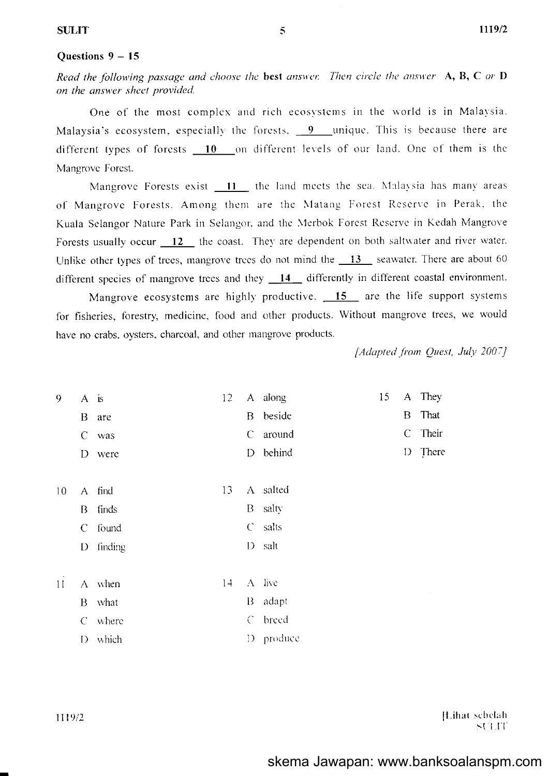#### Ouestions  $9 - 15$

Read the following passage and choose the best answer. Then circle the answer  $A, B, C$  or  $D$ on the answer sheet provided.

One of the most complex and rich ecosystems in the world is in Malavsia. Malaysia's ecosystem, especially the forests. 9 unique. This is because there are different types of forests 10 on different levels of our land. One of them is the Mangrove Forest.

Mangrove Forests exist 11 the land meets the sea. Malaysia has many areas of Mangrove Forests. Among them are the Matang Forest Reserve in Perak, the Kuala Selangor Nature Park in Selangor, and the Merbok Forest Reserve in Kedah Mangrove Forests usually occur 12 the coast. They are dependent on both saltwater and river water. Unlike other types of trees, mangrove trees do not mind the  $13$  seawater. There are about 60 different species of mangrove trees and they  $14$  differently in different coastal environment.

Mangrove ecosystems are highly productive.  $15$  are the life support systems for fisheries, forestry, medicine, food and other products. Without mangrove trees, we would have no crabs, oysters, charcoal, and other mangrove products.

C around

D behind

[Adapted from Quest, July 2007]

They

That

Their

D There

 $\overline{A}$ 

 $\overline{B}$ 

 $C_{-}$ 

15

- $\overline{9}$ 12 A along  $A$  is B beside
	- B are
	- C was
		- D were
- A salted  $10$ 13 A find
	- finds B salty B
		- $\mathcal{C}$ salts  $\mathcal{C}$ found
		- $D$  finding  $D$  salt
- $14$  $A$  live  $11$  $A$  when B adapt B what C breed C where D produce D which

[Lihat sebelah SULIT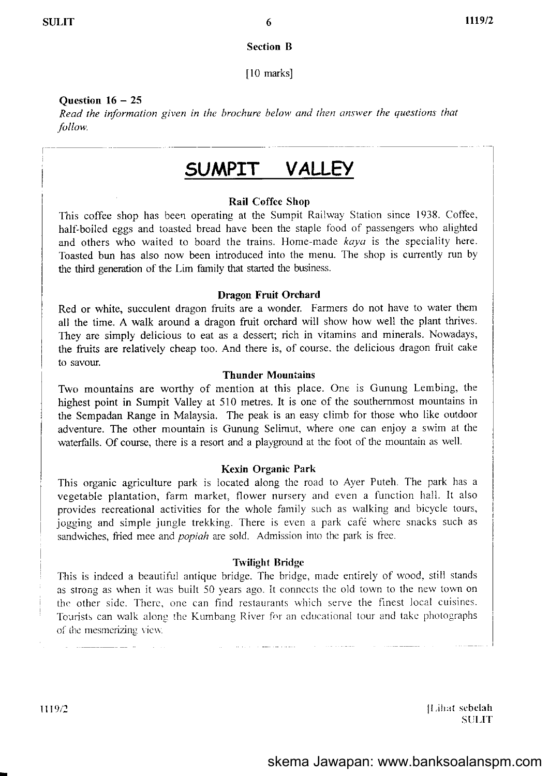I

#### Section B

[10 marks]

#### Ouestion  $16 - 25$

Read the information given in the brochure below and then answer the questions that follow.

# sUMPIT VALLEY

#### Rail Coffee Shop

This coffee shop has been operating at the Sumpit Railway Station since 1938. Coffee, half-boiled eggs and toasted bread have been the staple food of passengers who alighted and others who waited to board the trains. Home-made kaya is the speciality here. Toasted bun has also now been introduced into the menu. The shop is currently run by the thind generation of the Lim family that started the business.

#### Dragon Fruit Orchard

Red or white, succulent dragon fruits are a wonder. Farmers do not have to water them all the time. A walk around a dragon fruit orchard will show how well the plant thrives. They are simply delicious to eat as a dessert; rich in vitamins and minerals. Nowadays, the ffuits are relatively cheap too. And there is, of course. the delicious dragon fruit cake to savour.

#### Thunder Mountains

Two mountains are worthy of mention at this place. One is Gunung Lembing, the highest point in Sumpit Valley at 510 metres. It is one of the southernmost mountains in the Sempadan Range in Malaysia. The peak is an easy climb for those who like outdoor adventure. The other mountain is Gunung Selimut, where one can enjoy a swim at the waterfalls. Of course, there is a resort and a playground at the foot of the mountain as well.

#### Kexin Organic Park

This organic agriculture park is located along thc road to Ayer Puteh. The park has a vegetable plantation, farm market, flower nursery and even a function hall. It also provides recreational activities for the whole family such as walking and bicycle tours, jogging and simple jungle trekking. There is even a park café where snacks such as sandwiches, fried mee and *popiah* are sold. Admission into the park is free.

#### **Twilight Bridge**

This is indeed a beautiful antique bridge. The bridge, made entirely of wood, still stands as strong as when it was built 50 years ago. It connects the old town to the new town on the other side. There, one can find restaurants which serve the finest local cuisines. Tourists can walk along the Kumbang River for an educational tour and take photographs of the mesmerizing view.

ll,ih:rl sebcleh **SULIT**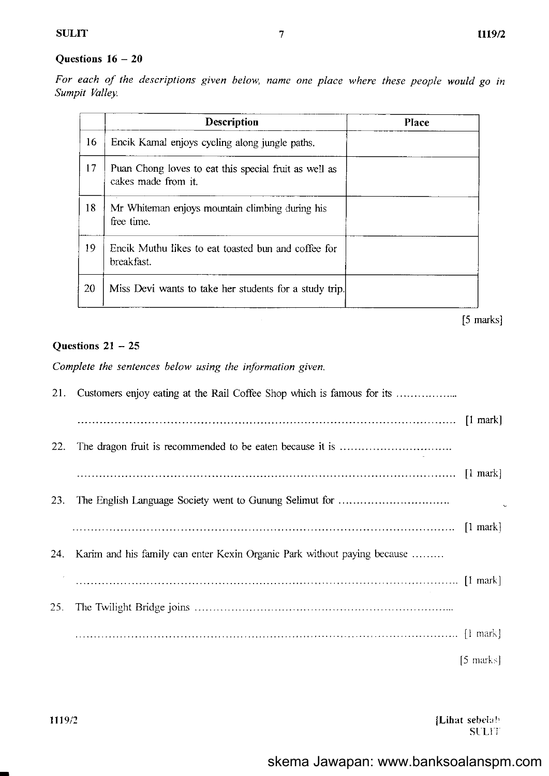# Questions  $16 - 20$

For each of lhe descriptions given below, name one place where these people would go in Sumpit Valley.

|    | <b>Description</b>                                                           | Place |
|----|------------------------------------------------------------------------------|-------|
| 16 | Encik Kamal enjoys cycling along jungle paths.                               |       |
| 17 | Puan Chong loves to eat this special fruit as well as<br>cakes made from it. |       |
| 18 | Mr Whiteman enjoys mountain climbing during his<br>free time.                |       |
| 19 | Encik Muthu likes to eat toasted bun and coffee for<br>breakfast.            |       |
| 20 | Miss Devi wants to take her students for a study trip.                       |       |

 $[5$  marks]

#### Questions  $21 - 25$

Complete the sentences below using the information given.

| 21. |                                                                          |           |
|-----|--------------------------------------------------------------------------|-----------|
|     |                                                                          |           |
| 22. |                                                                          |           |
|     |                                                                          |           |
| 23. |                                                                          |           |
|     |                                                                          |           |
| 24. | Karim and his family can enter Kexin Organic Park without paying because |           |
|     |                                                                          |           |
| 25. |                                                                          |           |
|     |                                                                          |           |
|     |                                                                          | [5 marks] |

ILihat sehelr l, SULIT.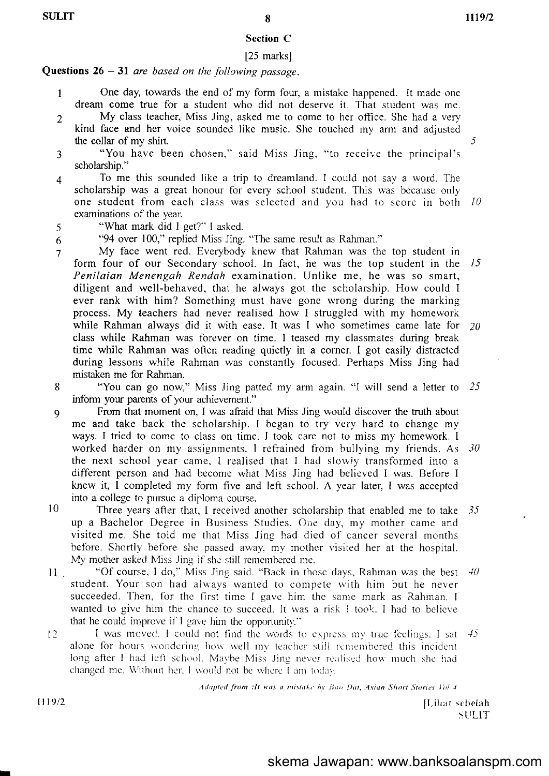# Section C

# [25 marks]

# **Questions 26 - 31** are based on the following passage.

- I One day, towards the end of my form four, a mistakc happcned. It made one dream come true for a student who did not deserve it. That student was me.
- 2 My class teacher, Miss Jing, asked me to come to her office. She had a very kind face and her voice sounded like music. She touched my arm and adjusted the collar of my shirt.  $\frac{5}{5}$
- 3 "You have been chosen," said Miss Jing, "to receive the principal's scholarship."
- 4 To me this sounded like a trip to dreamland. I could not say a word. The scholarship was a great honour for every school student. This was because only one student from each class was selected and you had to score in both 10 examinations of the year.
- <sup>5</sup>"What mark did I get?" I asked.
- <sup>6</sup>"94 over 100," replied Miss Jing. "The same result as Rahman."
- 7 My face went red. Everybody knew that Rahman was the top student in form four of our Secondary school. In fact, he was the top student in the 15 Penilaian Menengah Rendah examination. Unlike me, he was so smart, diligent and well-behaved, that he always got the scholarship. How could I ever rank with him? Something must have gone wrong during the marking process. My teachers had never realised how I struggled with my homework while Rahman always did it with ease. It was I who sometimes came late for  $20$ class while Rahman was forever cn time. I teased my classmates during break time while Rahman was often reading quietly in a corner. I got easily distracted during lessoris while Rahman was constantly focused. Perhaps Miss Jing had mistakcn me for Rahman.
- 8 "You can go now," Miss Jing patted my arm again. "I will send a letter to 25 inform your parents of your achievement."
- 9 From that moment on, I was airaid that Miss Jing would discover the truth about me and take back the scholarship. I began to try very hard to change my ways. I tried to come to class on time. I took care not to miss my homework. I worked harder on my assignments. I refrained from bullying my friends. As 30 the next school year came. I realised that I had slowiy transformed into a different person and had become what Miss Jing had believed I was. Before I knew it, I completed my form five and left school. A year later, I was accepted into a college to pursue a diploma course.
- 10 Three years after that, I received another scholarship that enabled me to take  $35$ up a Bachelor Degree in Business Studies. One day, my mother came and visited me. She told me that Miss Jing had died of cancer several months before. Shortly before she passed away, my mother visited her at the hospital. My mother asked Miss Jing if she still remembered me.
- 11 \* \*Of course, I do," Miss Jing said. "Back in those days, Rahman was the best  $\neq 40$ student. Your son had always wanted to compete with him but he never succeeded. Then, for the first time I gave him the same mark as Rahman. I wanted to give him the chance to succeed. It was a risk I took. I had to believe that he could improve if  $I$  gave him the opportunity."
- $12$  I was moved. I could not find the words to express my true feelings. I sat  $45$ alone for hours wondering how well my teacher still remembered this incident long after I had left school. Maybe Miss Jing never realised how much she had changed me. Without her, I would not be where I am today.

Adapted from :lt was a mistake by Bao Dat, Asian Short Stories Vol 4.

1119/2

I

[Lihat sebelah  $SULIT$ 

# skema Jawapan: www.banksoalanspm.com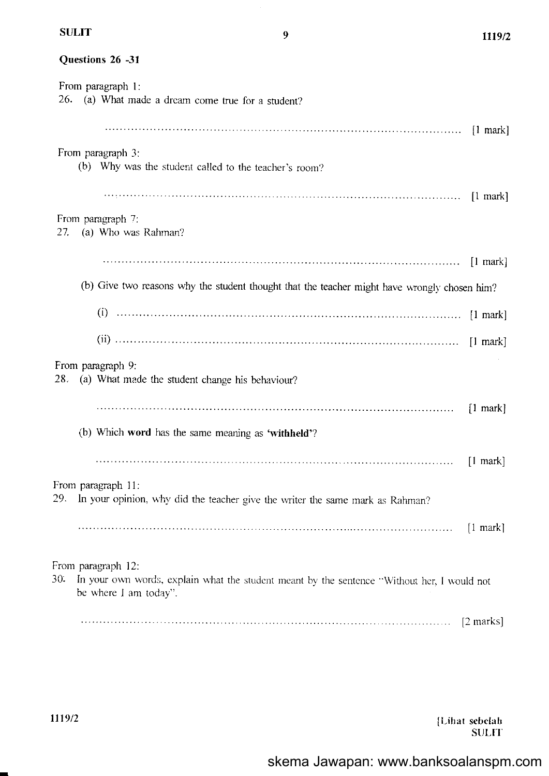Questions 26 -31

| From paragraph 1:<br>26.<br>(a) What made a dream come true for a student?                                                                        |                     |
|---------------------------------------------------------------------------------------------------------------------------------------------------|---------------------|
|                                                                                                                                                   |                     |
| From paragraph 3:<br>(b) Why was the student called to the teacher's room?                                                                        |                     |
|                                                                                                                                                   |                     |
| From paragraph 7:<br>27. (a) Who was Rahman?                                                                                                      |                     |
|                                                                                                                                                   |                     |
| (b) Give two reasons why the student thought that the teacher might have wrongly chosen him?                                                      |                     |
|                                                                                                                                                   |                     |
|                                                                                                                                                   |                     |
| From paragraph 9:<br>28. (a) What made the student change his behaviour?                                                                          |                     |
|                                                                                                                                                   | $\lceil 1$ mark     |
| (b) Which word has the same meaning as 'withheld'?                                                                                                |                     |
|                                                                                                                                                   | $\lceil 1$ mark     |
| From paragraph 11:<br>29.<br>In your opinion, why did the teacher give the writer the same mark as Rahman?                                        |                     |
|                                                                                                                                                   | $\lceil 1$ mark]    |
| From paragraph 12:<br>30.<br>In your own words, explain what the student meant by the sentence "Without her, I would not<br>be where I am today". |                     |
|                                                                                                                                                   | $[2 \text{ marks}]$ |

[Lihat sebelah]<br>SULIT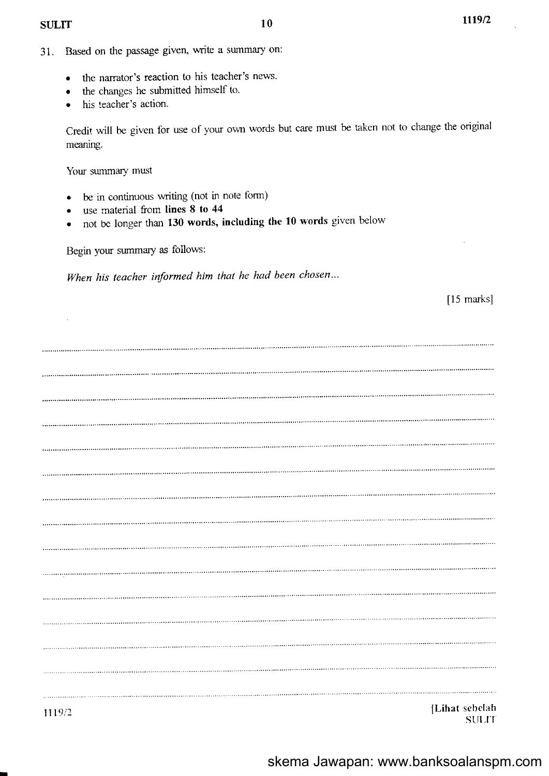[15 marks]

- 31. Based on the passage given, write a summary on:
	- o the narrator's reaction to his teacher's news.
	- the changes he submitted himself to.
	- his teacher's action.

Credit will be given for use of your own words but care must be taken not to change the original meaning.

Your summary must

- . be in continuous writing (not in note form)
- use material from lines 8 to 44
- not be longer than 130 words, including the 10 words given below

Begin your summary as follows:

When his teacher informed him that he had been chosen...

 $\bar{z}$ ILihat sebelah<br>SULIT st linkt seperately and the seperately state of the seperately separately separately separately separately separately separately separately separately separately separately separately separately separately separately separ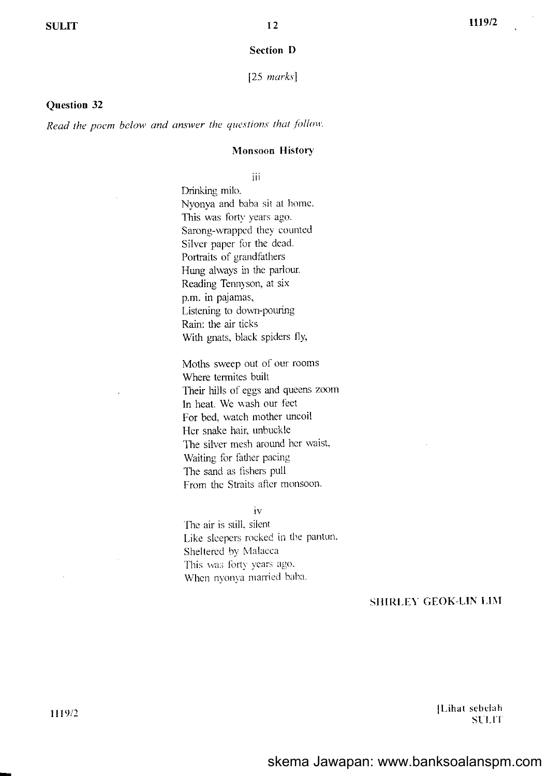#### **Section D**

 $[25 \ marks]$ 

#### Question 32

Read the poem below and answer the questions that follow.

#### **Monsoon History**

# iii

Drinking milo. Nyonya and baba sit at home. This was forty years ago. Sarong-wrapped they counted Silver paper for the dead. Portraits of grandfathers Hung always in the parlour. Reading Tennyson, at six p.m. in pajamas, Listening to down-pouring Rain: the air ticks With gnats, black spiders fly,

Moths sweep out of our rooms Where termites built Their hills of eggs and queens zoom In heat. We wash our feet For bed, watch mother uncoil Her snake hair, unbuckle The silver mesh around her waist, Waiting for father pacing The sand as fishers pull From the Straits after monsoon.

#### iv

The air is still, silent Like sleepers rocked in the pantun. Sheltered by Malacca This was forty years ago, When nyonya married baba.

#### **SHIRLEY GEOK-LIN LIM**

[Lihat sebelah] **SULIT**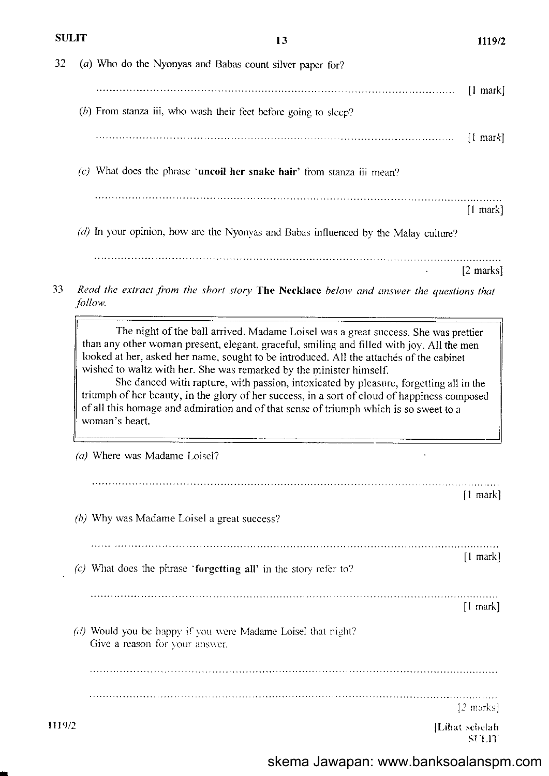| 90LI I |         | 15                                                                                                                                                                                                                                                                                                                                                                      | 1119/2                 |
|--------|---------|-------------------------------------------------------------------------------------------------------------------------------------------------------------------------------------------------------------------------------------------------------------------------------------------------------------------------------------------------------------------------|------------------------|
| 32     |         | (a) Who do the Nyonyas and Babas count silver paper for?                                                                                                                                                                                                                                                                                                                |                        |
|        |         | $(b)$ From stanza iii, who wash their feet before going to sleep?                                                                                                                                                                                                                                                                                                       | $[1$ mark]             |
|        |         |                                                                                                                                                                                                                                                                                                                                                                         | $\lceil$ mark          |
|        |         | $(c)$ What does the phrase 'uncoil her snake hair' from stanza iii mean?                                                                                                                                                                                                                                                                                                |                        |
|        |         |                                                                                                                                                                                                                                                                                                                                                                         | $[1$ mark]             |
|        |         | $(d)$ In your opinion, how are the Nyonyas and Babas influenced by the Malay culture?                                                                                                                                                                                                                                                                                   |                        |
|        |         |                                                                                                                                                                                                                                                                                                                                                                         | $[2 \text{ marks}]$    |
|        | follow. | Read the extract from the short story The Necklace below and answer the questions that                                                                                                                                                                                                                                                                                  |                        |
|        |         | wished to waltz with her. She was remarked by the minister himself.<br>She danced with rapture, with passion, intoxicated by pleasure, forgetting all in the<br>triumph of her beauty, in the glory of her success, in a sort of cloud of happiness composed<br>of all this homage and admiration and of that sense of triumph which is so sweet to a<br>woman's heart. |                        |
|        |         | (a) Where was Madame Loisel?                                                                                                                                                                                                                                                                                                                                            |                        |
|        |         |                                                                                                                                                                                                                                                                                                                                                                         | $\lceil$ mark          |
|        |         | (b) Why was Madame Loisel a great success?                                                                                                                                                                                                                                                                                                                              |                        |
|        |         | (c) What does the phrase 'forgetting all' in the story refer to?                                                                                                                                                                                                                                                                                                        | $\lceil$ mark]         |
|        |         |                                                                                                                                                                                                                                                                                                                                                                         | $\lceil$ mark $\rceil$ |
|        |         | (d) Would you be happy if you were Madame Loisel that night?                                                                                                                                                                                                                                                                                                            |                        |
|        |         | Give a reason for your answer.                                                                                                                                                                                                                                                                                                                                          |                        |
|        |         |                                                                                                                                                                                                                                                                                                                                                                         |                        |

. . . .  $[2 \text{ marks}]$ 

[Lihat sebelah]<br>SULIT

1119/2